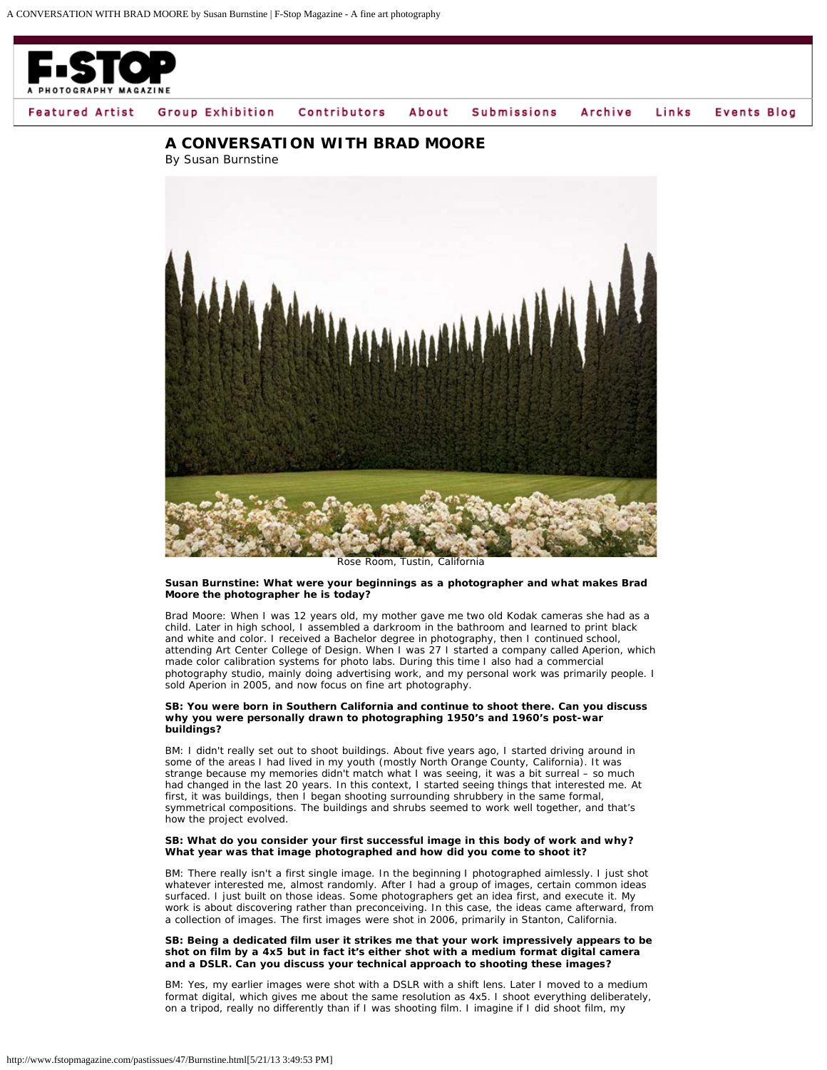

**Events Blog Featured Artist** Group Exhibition Archive Contributors About **Submissions** Links

# **A CONVERSATION WITH BRAD MOORE**

By Susan Burnstine



*Rose Room, Tustin, California*

#### **Susan Burnstine: What were your beginnings as a photographer and what makes Brad Moore the photographer he is today?**

Brad Moore: When I was 12 years old, my mother gave me two old Kodak cameras she had as a child. Later in high school, I assembled a darkroom in the bathroom and learned to print black and white and color. I received a Bachelor degree in photography, then I continued school, attending Art Center College of Design. When I was 27 I started a company called Aperion, which made color calibration systems for photo labs. During this time I also had a commercial photography studio, mainly doing advertising work, and my personal work was primarily people. I sold Aperion in 2005, and now focus on fine art photography.

#### **SB: You were born in Southern California and continue to shoot there. Can you discuss why you were personally drawn to photographing 1950's and 1960's post-war buildings?**

BM: I didn't really set out to shoot buildings. About five years ago, I started driving around in some of the areas I had lived in my youth (mostly North Orange County, California). It was strange because my memories didn't match what I was seeing, it was a bit surreal – so much had changed in the last 20 years. In this context, I started seeing things that interested me. At first, it was buildings, then I began shooting surrounding shrubbery in the same formal, symmetrical compositions. The buildings and shrubs seemed to work well together, and that's how the project evolved.

## **SB: What do you consider your first successful image in this body of work and why? What year was that image photographed and how did you come to shoot it?**

BM: There really isn't a first single image. In the beginning I photographed aimlessly. I just shot whatever interested me, almost randomly. After I had a group of images, certain common ideas surfaced. I just built on those ideas. Some photographers get an idea first, and execute it. My work is about discovering rather than preconceiving. In this case, the ideas came afterward, from a collection of images. The first images were shot in 2006, primarily in Stanton, California.

#### **SB: Being a dedicated film user it strikes me that your work impressively appears to be shot on film by a 4x5 but in fact it's either shot with a medium format digital camera and a DSLR. Can you discuss your technical approach to shooting these images?**

BM: Yes, my earlier images were shot with a DSLR with a shift lens. Later I moved to a medium format digital, which gives me about the same resolution as 4x5. I shoot everything deliberately, on a tripod, really no differently than if I was shooting film. I imagine if I did shoot film, my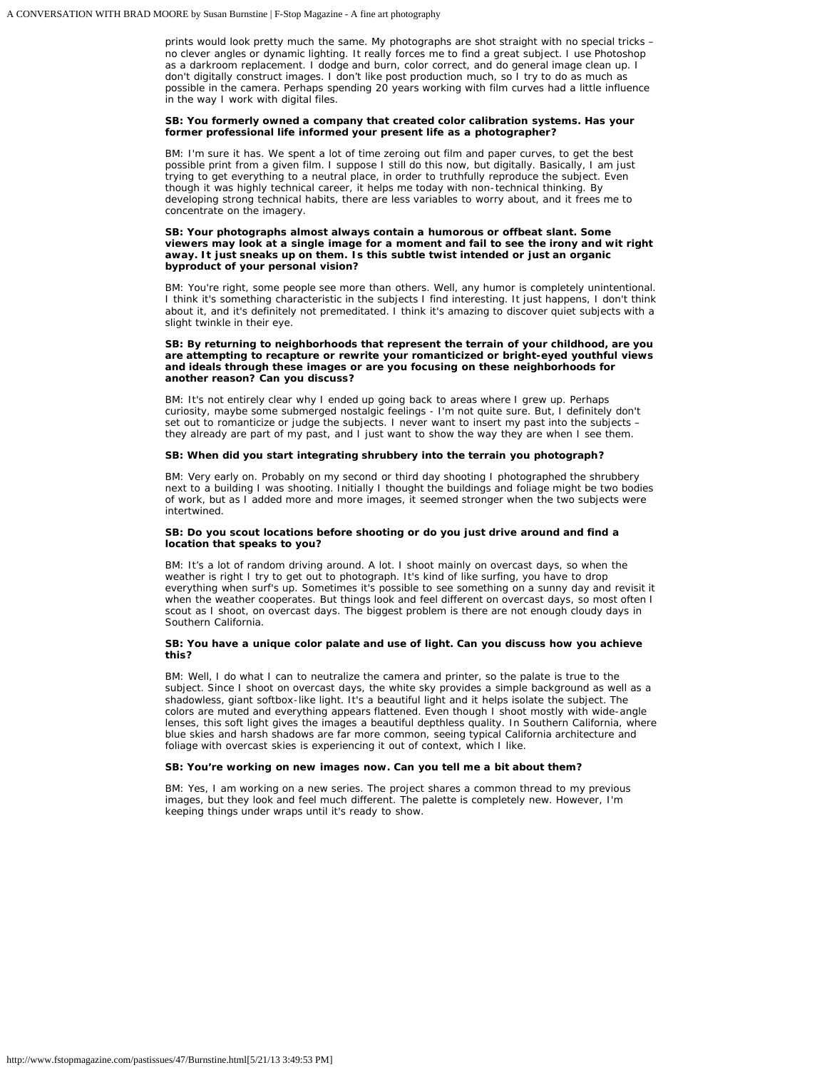prints would look pretty much the same. My photographs are shot straight with no special tricks – no clever angles or dynamic lighting. It really forces me to find a great subject. I use Photoshop as a darkroom replacement. I dodge and burn, color correct, and do general image clean up. I don't digitally construct images. I don't like post production much, so I try to do as much as possible in the camera. Perhaps spending 20 years working with film curves had a little influence in the way I work with digital files.

## **SB: You formerly owned a company that created color calibration systems. Has your former professional life informed your present life as a photographer?**

BM: I'm sure it has. We spent a lot of time zeroing out film and paper curves, to get the best possible print from a given film. I suppose I still do this now, but digitally. Basically, I am just trying to get everything to a neutral place, in order to truthfully reproduce the subject. Even though it was highly technical career, it helps me today with non-technical thinking. By developing strong technical habits, there are less variables to worry about, and it frees me to concentrate on the imagery.

#### **SB: Your photographs almost always contain a humorous or offbeat slant. Some viewers may look at a single image for a moment and fail to see the irony and wit right away. It just sneaks up on them. Is this subtle twist intended or just an organic byproduct of your personal vision?**

BM: You're right, some people see more than others. Well, any humor is completely unintentional. I think it's something characteristic in the subjects I find interesting. It just happens, I don't think about it, and it's definitely not premeditated. I think it's amazing to discover quiet subjects with a slight twinkle in their eye.

## **SB: By returning to neighborhoods that represent the terrain of your childhood, are you are attempting to recapture or rewrite your romanticized or bright-eyed youthful views and ideals through these images or are you focusing on these neighborhoods for another reason? Can you discuss?**

BM: It's not entirely clear why I ended up going back to areas where I grew up. Perhaps curiosity, maybe some submerged nostalgic feelings - I'm not quite sure. But, I definitely don't set out to romanticize or judge the subjects. I never want to insert my past into the subjects they already are part of my past, and I just want to show the way they are when I see them.

#### **SB: When did you start integrating shrubbery into the terrain you photograph?**

BM: Very early on. Probably on my second or third day shooting I photographed the shrubbery next to a building I was shooting. Initially I thought the buildings and foliage might be two bodies of work, but as I added more and more images, it seemed stronger when the two subjects were intertwined.

#### **SB: Do you scout locations before shooting or do you just drive around and find a location that speaks to you?**

BM: It's a lot of random driving around. A lot. I shoot mainly on overcast days, so when the weather is right I try to get out to photograph. It's kind of like surfing, you have to drop everything when surf's up. Sometimes it's possible to see something on a sunny day and revisit it when the weather cooperates. But things look and feel different on overcast days, so most often I scout as I shoot, on overcast days. The biggest problem is there are not enough cloudy days in Southern California.

# **SB: You have a unique color palate and use of light. Can you discuss how you achieve this?**

BM: Well, I do what I can to neutralize the camera and printer, so the palate is true to the subject. Since I shoot on overcast days, the white sky provides a simple background as well as a shadowless, giant softbox-like light. It's a beautiful light and it helps isolate the subject. The colors are muted and everything appears flattened. Even though I shoot mostly with wide-angle lenses, this soft light gives the images a beautiful depthless quality. In Southern California, where blue skies and harsh shadows are far more common, seeing typical California architecture and foliage with overcast skies is experiencing it out of context, which I like.

# **SB: You're working on new images now. Can you tell me a bit about them?**

BM: Yes, I am working on a new series. The project shares a common thread to my previous images, but they look and feel much different. The palette is completely new. However, I'm keeping things under wraps until it's ready to show.